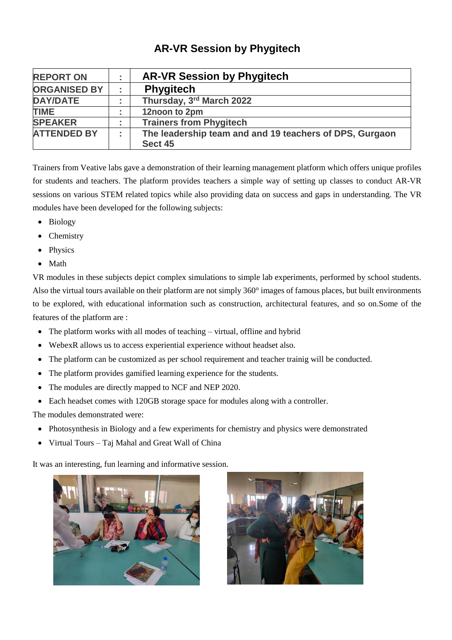## **AR-VR Session by Phygitech**

| <b>REPORT ON</b>    | $\blacksquare$ | <b>AR-VR Session by Phygitech</b>                                  |
|---------------------|----------------|--------------------------------------------------------------------|
| <b>ORGANISED BY</b> |                | <b>Phygitech</b>                                                   |
| <b>DAY/DATE</b>     | $\blacksquare$ | Thursday, 3rd March 2022                                           |
| <b>TIME</b>         | $\blacksquare$ | 12noon to 2pm                                                      |
| <b>SPEAKER</b>      | $\blacksquare$ | <b>Trainers from Phygitech</b>                                     |
| <b>ATTENDED BY</b>  | ÷              | The leadership team and and 19 teachers of DPS, Gurgaon<br>Sect 45 |

Trainers from Veative labs gave a demonstration of their learning management platform which offers unique profiles for students and teachers. The platform provides teachers a simple way of setting up classes to conduct AR-VR sessions on various STEM related topics while also providing data on success and gaps in understanding. The VR modules have been developed for the following subjects:

- Biology
- Chemistry
- Physics
- Math

VR modules in these subjects depict complex simulations to simple lab experiments, performed by school students. Also the virtual tours available on their platform are not simply 360° images of famous places, but built environments to be explored, with educational information such as construction, architectural features, and so on.Some of the features of the platform are :

- The platform works with all modes of teaching virtual, offline and hybrid
- WebexR allows us to access experiential experience without headset also.
- The platform can be customized as per school requirement and teacher trainig will be conducted.
- The platform provides gamified learning experience for the students.
- The modules are directly mapped to NCF and NEP 2020.
- Each headset comes with 120GB storage space for modules along with a controller.

The modules demonstrated were:

- Photosynthesis in Biology and a few experiments for chemistry and physics were demonstrated
- Virtual Tours Taj Mahal and Great Wall of China

It was an interesting, fun learning and informative session.